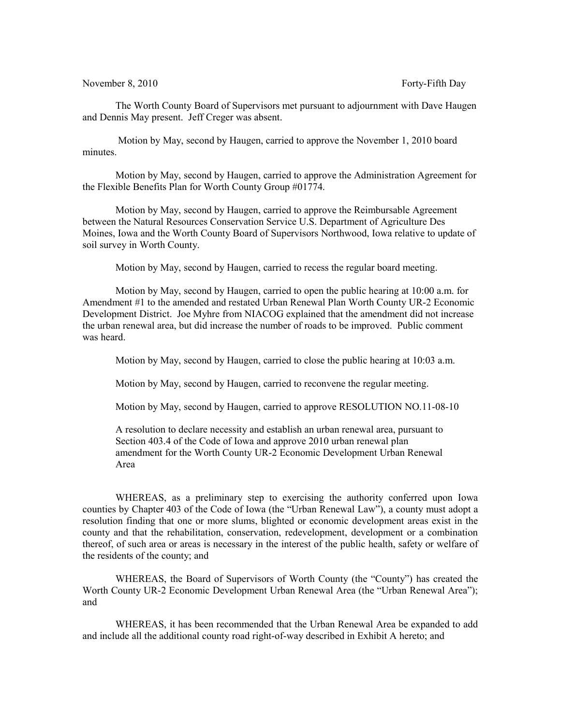November 8, 2010 Forty-Fifth Day

The Worth County Board of Supervisors met pursuant to adjournment with Dave Haugen and Dennis May present. Jeff Creger was absent.

 Motion by May, second by Haugen, carried to approve the November 1, 2010 board minutes.

Motion by May, second by Haugen, carried to approve the Administration Agreement for the Flexible Benefits Plan for Worth County Group #01774.

Motion by May, second by Haugen, carried to approve the Reimbursable Agreement between the Natural Resources Conservation Service U.S. Department of Agriculture Des Moines, Iowa and the Worth County Board of Supervisors Northwood, Iowa relative to update of soil survey in Worth County.

Motion by May, second by Haugen, carried to recess the regular board meeting.

Motion by May, second by Haugen, carried to open the public hearing at 10:00 a.m. for Amendment #1 to the amended and restated Urban Renewal Plan Worth County UR-2 Economic Development District. Joe Myhre from NIACOG explained that the amendment did not increase the urban renewal area, but did increase the number of roads to be improved. Public comment was heard.

Motion by May, second by Haugen, carried to close the public hearing at 10:03 a.m.

Motion by May, second by Haugen, carried to reconvene the regular meeting.

Motion by May, second by Haugen, carried to approve RESOLUTION NO.11-08-10

A resolution to declare necessity and establish an urban renewal area, pursuant to Section 403.4 of the Code of Iowa and approve 2010 urban renewal plan amendment for the Worth County UR-2 Economic Development Urban Renewal Area

WHEREAS, as a preliminary step to exercising the authority conferred upon Iowa counties by Chapter 403 of the Code of Iowa (the "Urban Renewal Law"), a county must adopt a resolution finding that one or more slums, blighted or economic development areas exist in the county and that the rehabilitation, conservation, redevelopment, development or a combination thereof, of such area or areas is necessary in the interest of the public health, safety or welfare of the residents of the county; and

WHEREAS, the Board of Supervisors of Worth County (the "County") has created the Worth County UR-2 Economic Development Urban Renewal Area (the "Urban Renewal Area"); and

WHEREAS, it has been recommended that the Urban Renewal Area be expanded to add and include all the additional county road right-of-way described in Exhibit A hereto; and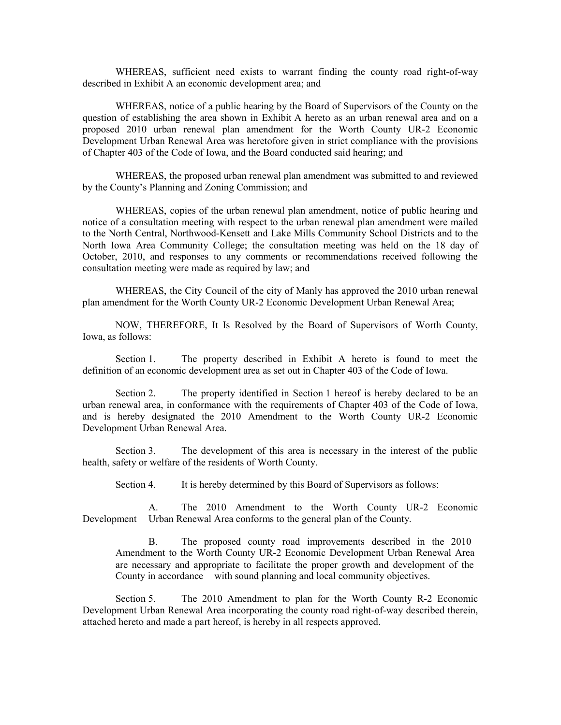WHEREAS, sufficient need exists to warrant finding the county road right-of-way described in Exhibit A an economic development area; and

WHEREAS, notice of a public hearing by the Board of Supervisors of the County on the question of establishing the area shown in Exhibit A hereto as an urban renewal area and on a proposed 2010 urban renewal plan amendment for the Worth County UR-2 Economic Development Urban Renewal Area was heretofore given in strict compliance with the provisions of Chapter 403 of the Code of Iowa, and the Board conducted said hearing; and

WHEREAS, the proposed urban renewal plan amendment was submitted to and reviewed by the County's Planning and Zoning Commission; and

WHEREAS, copies of the urban renewal plan amendment, notice of public hearing and notice of a consultation meeting with respect to the urban renewal plan amendment were mailed to the North Central, Northwood-Kensett and Lake Mills Community School Districts and to the North Iowa Area Community College; the consultation meeting was held on the 18 day of October, 2010, and responses to any comments or recommendations received following the consultation meeting were made as required by law; and

WHEREAS, the City Council of the city of Manly has approved the 2010 urban renewal plan amendment for the Worth County UR-2 Economic Development Urban Renewal Area;

NOW, THEREFORE, It Is Resolved by the Board of Supervisors of Worth County, Iowa, as follows:

Section 1. The property described in Exhibit A hereto is found to meet the definition of an economic development area as set out in Chapter 403 of the Code of Iowa.

Section 2. The property identified in Section 1 hereof is hereby declared to be an urban renewal area, in conformance with the requirements of Chapter 403 of the Code of Iowa, and is hereby designated the 2010 Amendment to the Worth County UR-2 Economic Development Urban Renewal Area.

Section 3. The development of this area is necessary in the interest of the public health, safety or welfare of the residents of Worth County.

Section 4. It is hereby determined by this Board of Supervisors as follows:

A. The 2010 Amendment to the Worth County UR-2 Economic Development Urban Renewal Area conforms to the general plan of the County.

B. The proposed county road improvements described in the 2010 Amendment to the Worth County UR-2 Economic Development Urban Renewal Area are necessary and appropriate to facilitate the proper growth and development of the County in accordance with sound planning and local community objectives.

Section 5. The 2010 Amendment to plan for the Worth County R-2 Economic Development Urban Renewal Area incorporating the county road right-of-way described therein, attached hereto and made a part hereof, is hereby in all respects approved.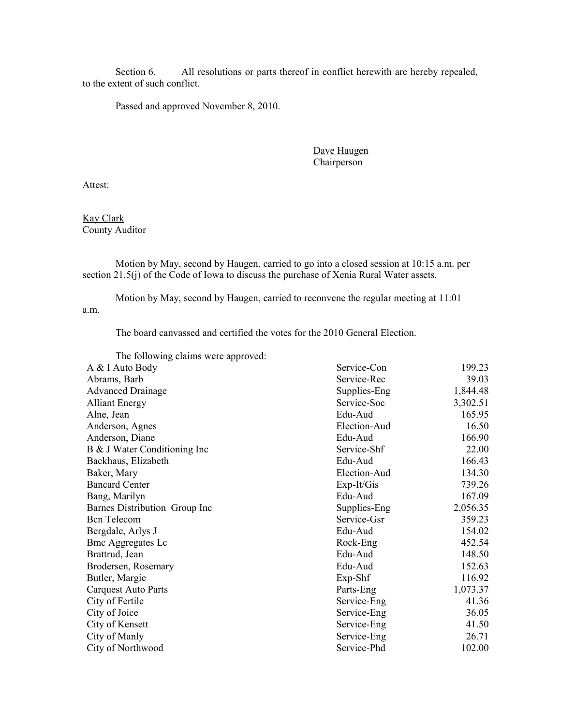Section 6. All resolutions or parts thereof in conflict herewith are hereby repealed, to the extent of such conflict.

Passed and approved November 8, 2010.

Dave Haugen Chairperson

Attest:

Kay Clark County Auditor

Motion by May, second by Haugen, carried to go into a closed session at 10:15 a.m. per section 21.5(j) of the Code of Iowa to discuss the purchase of Xenia Rural Water assets.

Motion by May, second by Haugen, carried to reconvene the regular meeting at 11:01 a.m.

The board canvassed and certified the votes for the 2010 General Election.

| The following claims were approved: |              |          |
|-------------------------------------|--------------|----------|
| A & I Auto Body                     | Service-Con  | 199.23   |
| Abrams, Barb                        | Service-Rec  | 39.03    |
| <b>Advanced Drainage</b>            | Supplies-Eng | 1,844.48 |
| <b>Alliant Energy</b>               | Service-Soc  | 3,302.51 |
| Alne, Jean                          | Edu-Aud      | 165.95   |
| Anderson, Agnes                     | Election-Aud | 16.50    |
| Anderson, Diane                     | Edu-Aud      | 166.90   |
| B & J Water Conditioning Inc        | Service-Shf  | 22.00    |
| Backhaus, Elizabeth                 | Edu-Aud      | 166.43   |
| Baker, Mary                         | Election-Aud | 134.30   |
| <b>Bancard Center</b>               | $Exp-It/Gis$ | 739.26   |
| Bang, Marilyn                       | Edu-Aud      | 167.09   |
| Barnes Distribution Group Inc       | Supplies-Eng | 2,056.35 |
| <b>Bcn</b> Telecom                  | Service-Gsr  | 359.23   |
| Bergdale, Arlys J                   | Edu-Aud      | 154.02   |
| <b>Bmc Aggregates Lc</b>            | Rock-Eng     | 452.54   |
| Brattrud, Jean                      | Edu-Aud      | 148.50   |
| Brodersen, Rosemary                 | Edu-Aud      | 152.63   |
| Butler, Margie                      | Exp-Shf      | 116.92   |
| Carquest Auto Parts                 | Parts-Eng    | 1,073.37 |
| City of Fertile                     | Service-Eng  | 41.36    |
| City of Joice                       | Service-Eng  | 36.05    |
| City of Kensett                     | Service-Eng  | 41.50    |
| City of Manly                       | Service-Eng  | 26.71    |
| City of Northwood                   | Service-Phd  | 102.00   |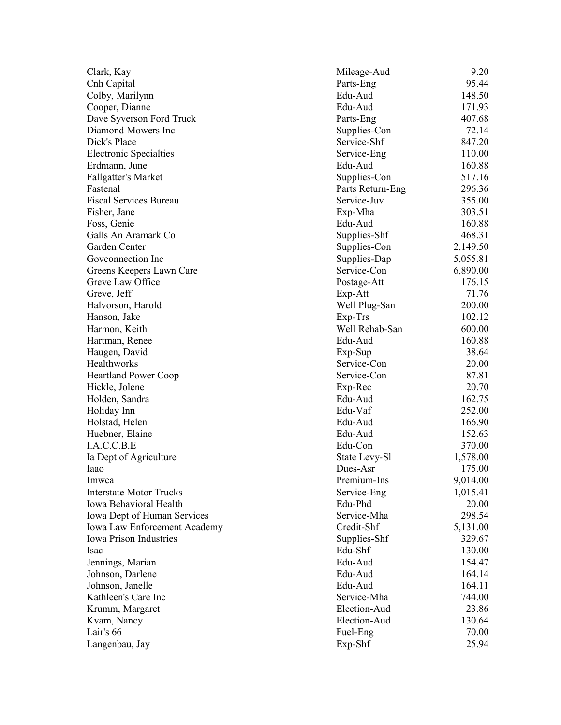| Clark, Kay                     | Mileage-Aud      | 9.20     |
|--------------------------------|------------------|----------|
| Cnh Capital                    | Parts-Eng        | 95.44    |
| Colby, Marilynn                | Edu-Aud          | 148.50   |
| Cooper, Dianne                 | Edu-Aud          | 171.93   |
| Dave Syverson Ford Truck       | Parts-Eng        | 407.68   |
| Diamond Mowers Inc             | Supplies-Con     | 72.14    |
| Dick's Place                   | Service-Shf      | 847.20   |
| <b>Electronic Specialties</b>  | Service-Eng      | 110.00   |
| Erdmann, June                  | Edu-Aud          | 160.88   |
| Fallgatter's Market            | Supplies-Con     | 517.16   |
| Fastenal                       | Parts Return-Eng | 296.36   |
| <b>Fiscal Services Bureau</b>  | Service-Juv      | 355.00   |
| Fisher, Jane                   | Exp-Mha          | 303.51   |
| Foss, Genie                    | Edu-Aud          | 160.88   |
| Galls An Aramark Co            | Supplies-Shf     | 468.31   |
| Garden Center                  | Supplies-Con     | 2,149.50 |
| Goveonnection Inc              | Supplies-Dap     | 5,055.81 |
| Greens Keepers Lawn Care       | Service-Con      | 6,890.00 |
| Greve Law Office               | Postage-Att      | 176.15   |
| Greve, Jeff                    | Exp-Att          | 71.76    |
| Halvorson, Harold              | Well Plug-San    | 200.00   |
| Hanson, Jake                   | Exp-Trs          | 102.12   |
| Harmon, Keith                  | Well Rehab-San   | 600.00   |
| Hartman, Renee                 | Edu-Aud          | 160.88   |
| Haugen, David                  | Exp-Sup          | 38.64    |
| Healthworks                    | Service-Con      | 20.00    |
| <b>Heartland Power Coop</b>    | Service-Con      | 87.81    |
| Hickle, Jolene                 | Exp-Rec          | 20.70    |
| Holden, Sandra                 | Edu-Aud          | 162.75   |
| Holiday Inn                    | Edu-Vaf          | 252.00   |
| Holstad, Helen                 | Edu-Aud          | 166.90   |
| Huebner, Elaine                | Edu-Aud          | 152.63   |
| I.A.C.C.B.E                    | Edu-Con          | 370.00   |
| Ia Dept of Agriculture         | State Levy-Sl    | 1,578.00 |
| Iaao                           | Dues-Asr         | 175.00   |
| Imwca                          | Premium-Ins      | 9,014.00 |
| <b>Interstate Motor Trucks</b> | Service-Eng      | 1,015.41 |
| Iowa Behavioral Health         | Edu-Phd          | 20.00    |
| Iowa Dept of Human Services    | Service-Mha      | 298.54   |
| Iowa Law Enforcement Academy   | Credit-Shf       | 5,131.00 |
| <b>Iowa Prison Industries</b>  | Supplies-Shf     | 329.67   |
| Isac                           | Edu-Shf          | 130.00   |
| Jennings, Marian               | Edu-Aud          | 154.47   |
| Johnson, Darlene               | Edu-Aud          | 164.14   |
| Johnson, Janelle               | Edu-Aud          | 164.11   |
| Kathleen's Care Inc            | Service-Mha      | 744.00   |
| Krumm, Margaret                | Election-Aud     | 23.86    |
| Kvam, Nancy                    | Election-Aud     | 130.64   |
| Lair's 66                      | Fuel-Eng         | 70.00    |
| Langenbau, Jay                 | Exp-Shf          | 25.94    |
|                                |                  |          |
|                                |                  |          |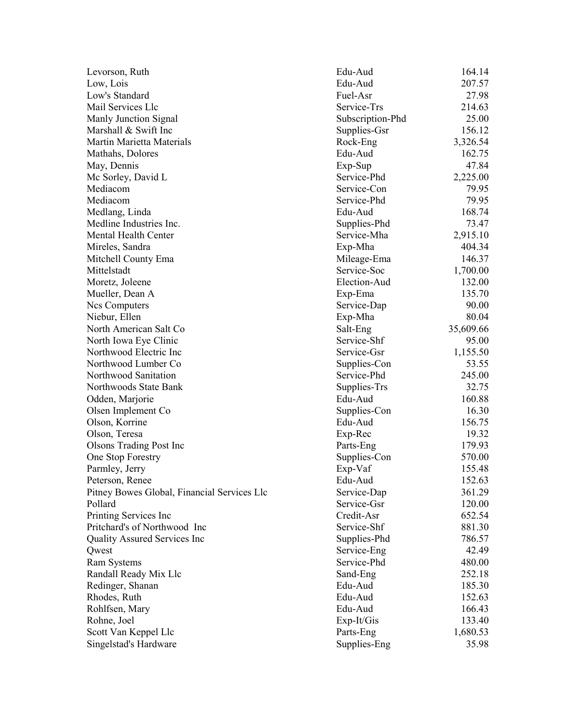| Levorson, Ruth                              | Edu-Aud          | 164.14    |
|---------------------------------------------|------------------|-----------|
| Low, Lois                                   | Edu-Aud          | 207.57    |
| Low's Standard                              | Fuel-Asr         | 27.98     |
| Mail Services Llc                           | Service-Trs      | 214.63    |
| Manly Junction Signal                       | Subscription-Phd | 25.00     |
| Marshall & Swift Inc                        | Supplies-Gsr     | 156.12    |
| Martin Marietta Materials                   | Rock-Eng         | 3,326.54  |
| Mathahs, Dolores                            | Edu-Aud          | 162.75    |
| May, Dennis                                 | Exp-Sup          | 47.84     |
| Mc Sorley, David L                          | Service-Phd      | 2,225.00  |
| Mediacom                                    | Service-Con      | 79.95     |
| Mediacom                                    | Service-Phd      | 79.95     |
| Medlang, Linda                              | Edu-Aud          | 168.74    |
| Medline Industries Inc.                     | Supplies-Phd     | 73.47     |
| Mental Health Center                        | Service-Mha      | 2,915.10  |
| Mireles, Sandra                             | Exp-Mha          | 404.34    |
| Mitchell County Ema                         | Mileage-Ema      | 146.37    |
| Mittelstadt                                 | Service-Soc      | 1,700.00  |
| Moretz, Joleene                             | Election-Aud     | 132.00    |
| Mueller, Dean A                             | Exp-Ema          | 135.70    |
| Ncs Computers                               | Service-Dap      | 90.00     |
| Niebur, Ellen                               | Exp-Mha          | 80.04     |
| North American Salt Co                      | Salt-Eng         | 35,609.66 |
| North Iowa Eye Clinic                       | Service-Shf      | 95.00     |
| Northwood Electric Inc                      | Service-Gsr      | 1,155.50  |
| Northwood Lumber Co                         | Supplies-Con     | 53.55     |
| Northwood Sanitation                        | Service-Phd      | 245.00    |
| Northwoods State Bank                       | Supplies-Trs     | 32.75     |
| Odden, Marjorie                             | Edu-Aud          | 160.88    |
| Olsen Implement Co                          | Supplies-Con     | 16.30     |
| Olson, Korrine                              | Edu-Aud          | 156.75    |
| Olson, Teresa                               | Exp-Rec          | 19.32     |
| <b>Olsons Trading Post Inc</b>              | Parts-Eng        | 179.93    |
| One Stop Forestry                           | Supplies-Con     | 570.00    |
| Parmley, Jerry                              | Exp-Vaf          | 155.48    |
| Peterson, Renee                             | Edu-Aud          | 152.63    |
| Pitney Bowes Global, Financial Services Llc | Service-Dap      | 361.29    |
| Pollard                                     | Service-Gsr      | 120.00    |
| Printing Services Inc                       | Credit-Asr       | 652.54    |
| Pritchard's of Northwood Inc                | Service-Shf      | 881.30    |
| Quality Assured Services Inc                | Supplies-Phd     | 786.57    |
| Qwest                                       | Service-Eng      | 42.49     |
| Ram Systems                                 | Service-Phd      | 480.00    |
| Randall Ready Mix Llc                       | Sand-Eng         | 252.18    |
| Redinger, Shanan                            | Edu-Aud          | 185.30    |
| Rhodes, Ruth                                | Edu-Aud          | 152.63    |
| Rohlfsen, Mary                              | Edu-Aud          | 166.43    |
| Rohne, Joel                                 | Exp-It/Gis       | 133.40    |
| Scott Van Keppel Llc                        | Parts-Eng        | 1,680.53  |
| Singelstad's Hardware                       | Supplies-Eng     | 35.98     |
|                                             |                  |           |
|                                             |                  |           |